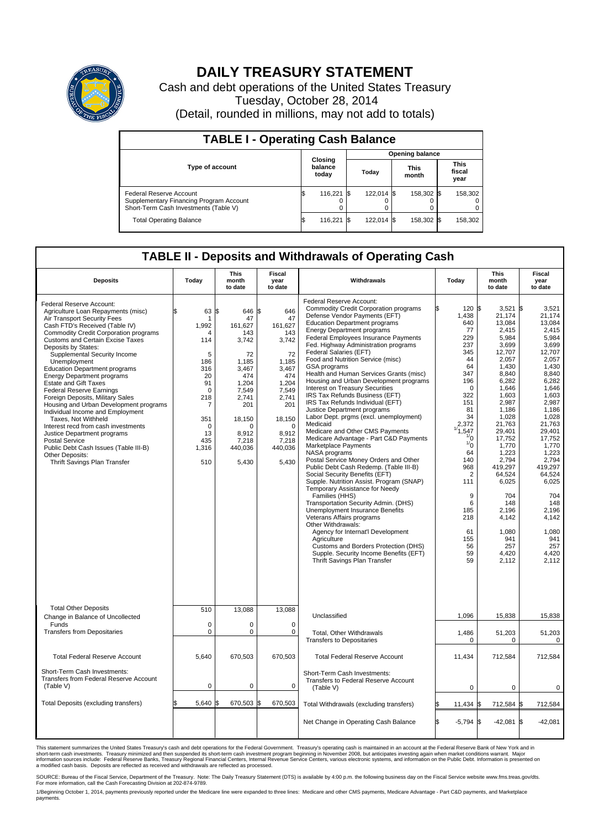

## **DAILY TREASURY STATEMENT**

Cash and debt operations of the United States Treasury Tuesday, October 28, 2014 (Detail, rounded in millions, may not add to totals)

| <b>TABLE I - Operating Cash Balance</b>                                                                     |  |                             |  |                        |  |                      |  |                               |  |  |
|-------------------------------------------------------------------------------------------------------------|--|-----------------------------|--|------------------------|--|----------------------|--|-------------------------------|--|--|
|                                                                                                             |  |                             |  | <b>Opening balance</b> |  |                      |  |                               |  |  |
| <b>Type of account</b>                                                                                      |  | Closing<br>balance<br>today |  | Todav                  |  | <b>This</b><br>month |  | <b>This</b><br>fiscal<br>year |  |  |
| Federal Reserve Account<br>Supplementary Financing Program Account<br>Short-Term Cash Investments (Table V) |  | 116.221 \\$                 |  | 122.014 \$             |  | 158.302 \$           |  | 158,302                       |  |  |
| <b>Total Operating Balance</b>                                                                              |  | 116,221 \$                  |  | 122.014 \$             |  | 158,302 \$           |  | 158,302                       |  |  |

## **TABLE II - Deposits and Withdrawals of Operating Cash**

| <b>Deposits</b>                                                                                                                                                                                                                                                                                                                                                                                                                                                                                                                                                                                                                                                                                                                                                                       | Today                                                                                                                                  | <b>This</b><br>month<br>to date                                                                                                                                   | <b>Fiscal</b><br>year<br>to date                                                                                                                                            | Withdrawals                                                                                                                                                                                                                                                                                                                                                                                                                                                                                                                                                                                                                                                                                                                                                                                                                                                                                                                                                                                                                                                                                                                                                                                                                                                                                    | Today                                                                                                                                                                                                                                                                     | <b>This</b><br>month<br>to date                                                                                                                                                                                                                                                                                 | <b>Fiscal</b><br>year<br>to date                                                                                                                                                                                                                                                                                       |
|---------------------------------------------------------------------------------------------------------------------------------------------------------------------------------------------------------------------------------------------------------------------------------------------------------------------------------------------------------------------------------------------------------------------------------------------------------------------------------------------------------------------------------------------------------------------------------------------------------------------------------------------------------------------------------------------------------------------------------------------------------------------------------------|----------------------------------------------------------------------------------------------------------------------------------------|-------------------------------------------------------------------------------------------------------------------------------------------------------------------|-----------------------------------------------------------------------------------------------------------------------------------------------------------------------------|------------------------------------------------------------------------------------------------------------------------------------------------------------------------------------------------------------------------------------------------------------------------------------------------------------------------------------------------------------------------------------------------------------------------------------------------------------------------------------------------------------------------------------------------------------------------------------------------------------------------------------------------------------------------------------------------------------------------------------------------------------------------------------------------------------------------------------------------------------------------------------------------------------------------------------------------------------------------------------------------------------------------------------------------------------------------------------------------------------------------------------------------------------------------------------------------------------------------------------------------------------------------------------------------|---------------------------------------------------------------------------------------------------------------------------------------------------------------------------------------------------------------------------------------------------------------------------|-----------------------------------------------------------------------------------------------------------------------------------------------------------------------------------------------------------------------------------------------------------------------------------------------------------------|------------------------------------------------------------------------------------------------------------------------------------------------------------------------------------------------------------------------------------------------------------------------------------------------------------------------|
| Federal Reserve Account:<br>Agriculture Loan Repayments (misc)<br>Air Transport Security Fees<br>Cash FTD's Received (Table IV)<br><b>Commodity Credit Corporation programs</b><br><b>Customs and Certain Excise Taxes</b><br>Deposits by States:<br>Supplemental Security Income<br>Unemployment<br><b>Education Department programs</b><br><b>Energy Department programs</b><br><b>Estate and Gift Taxes</b><br><b>Federal Reserve Earnings</b><br>Foreign Deposits, Military Sales<br>Housing and Urban Development programs<br>Individual Income and Employment<br>Taxes, Not Withheld<br>Interest recd from cash investments<br>Justice Department programs<br><b>Postal Service</b><br>Public Debt Cash Issues (Table III-B)<br>Other Deposits:<br>Thrift Savings Plan Transfer | 63<br>1<br>1,992<br>Δ<br>114<br>5<br>186<br>316<br>20<br>91<br>$\Omega$<br>218<br>7<br>351<br>$\mathbf 0$<br>13<br>435<br>1,316<br>510 | l\$<br>646<br>47<br>161,627<br>143<br>3,742<br>72<br>1,185<br>3,467<br>474<br>1,204<br>7.549<br>2,741<br>201<br>18,150<br>n<br>8.912<br>7,218<br>440,036<br>5,430 | l\$<br>646<br>47<br>161,627<br>143<br>3,742<br>72<br>1,185<br>3.467<br>474<br>1,204<br>7.549<br>2,741<br>201<br>18,150<br>$\mathbf 0$<br>8,912<br>7,218<br>440,036<br>5,430 | Federal Reserve Account:<br><b>Commodity Credit Corporation programs</b><br>Defense Vendor Payments (EFT)<br><b>Education Department programs</b><br><b>Energy Department programs</b><br>Federal Employees Insurance Payments<br>Fed. Highway Administration programs<br>Federal Salaries (EFT)<br>Food and Nutrition Service (misc)<br><b>GSA</b> programs<br>Health and Human Services Grants (misc)<br>Housing and Urban Development programs<br>Interest on Treasury Securities<br>IRS Tax Refunds Business (EFT)<br>IRS Tax Refunds Individual (EFT)<br>Justice Department programs<br>Labor Dept. prgms (excl. unemployment)<br>Medicaid<br>Medicare and Other CMS Payments<br>Medicare Advantage - Part C&D Payments<br>Marketplace Payments<br>NASA programs<br>Postal Service Money Orders and Other<br>Public Debt Cash Redemp. (Table III-B)<br>Social Security Benefits (EFT)<br>Supple. Nutrition Assist. Program (SNAP)<br>Temporary Assistance for Needy<br>Families (HHS)<br>Transportation Security Admin. (DHS)<br>Unemployment Insurance Benefits<br>Veterans Affairs programs<br>Other Withdrawals:<br>Agency for Internat'l Development<br>Agriculture<br>Customs and Borders Protection (DHS)<br>Supple. Security Income Benefits (EFT)<br>Thrift Savings Plan Transfer | 120S<br>1,438<br>640<br>77<br>229<br>237<br>345<br>44<br>64<br>347<br>196<br>$\Omega$<br>322<br>151<br>81<br>34<br>2,372<br>1/1,547<br>$\frac{1}{0}$<br>$\frac{1}{0}$<br>64<br>140<br>968<br>$\overline{2}$<br>111<br>9<br>6<br>185<br>218<br>61<br>155<br>56<br>59<br>59 | 3,521<br>21,174<br>13,084<br>2.415<br>5,984<br>3,699<br>12,707<br>2,057<br>1,430<br>8,840<br>6,282<br>1,646<br>1.603<br>2,987<br>1,186<br>1,028<br>21,763<br>29,401<br>17,752<br>1,770<br>1,223<br>2,794<br>419,297<br>64,524<br>6,025<br>704<br>148<br>2.196<br>4,142<br>1,080<br>941<br>257<br>4.420<br>2,112 | l\$<br>3,521<br>21,174<br>13,084<br>2.415<br>5,984<br>3.699<br>12.707<br>2,057<br>1,430<br>8.840<br>6,282<br>1,646<br>1.603<br>2,987<br>1.186<br>1,028<br>21,763<br>29,401<br>17.752<br>1,770<br>1,223<br>2,794<br>419.297<br>64,524<br>6,025<br>704<br>148<br>2.196<br>4,142<br>1,080<br>941<br>257<br>4.420<br>2,112 |
| <b>Total Other Deposits</b><br>Change in Balance of Uncollected                                                                                                                                                                                                                                                                                                                                                                                                                                                                                                                                                                                                                                                                                                                       | 510                                                                                                                                    | 13,088                                                                                                                                                            | 13,088                                                                                                                                                                      | Unclassified                                                                                                                                                                                                                                                                                                                                                                                                                                                                                                                                                                                                                                                                                                                                                                                                                                                                                                                                                                                                                                                                                                                                                                                                                                                                                   | 1,096                                                                                                                                                                                                                                                                     | 15,838                                                                                                                                                                                                                                                                                                          | 15,838                                                                                                                                                                                                                                                                                                                 |
| Funds<br><b>Transfers from Depositaries</b>                                                                                                                                                                                                                                                                                                                                                                                                                                                                                                                                                                                                                                                                                                                                           | $\mathbf 0$<br>$\mathbf 0$                                                                                                             | 0<br>0                                                                                                                                                            | $\mathbf 0$<br>0                                                                                                                                                            | Total, Other Withdrawals<br><b>Transfers to Depositaries</b>                                                                                                                                                                                                                                                                                                                                                                                                                                                                                                                                                                                                                                                                                                                                                                                                                                                                                                                                                                                                                                                                                                                                                                                                                                   | 1,486<br>$\mathbf 0$                                                                                                                                                                                                                                                      | 51,203<br>0                                                                                                                                                                                                                                                                                                     | 51,203<br>0                                                                                                                                                                                                                                                                                                            |
| <b>Total Federal Reserve Account</b>                                                                                                                                                                                                                                                                                                                                                                                                                                                                                                                                                                                                                                                                                                                                                  | 5,640                                                                                                                                  | 670,503                                                                                                                                                           | 670,503                                                                                                                                                                     | <b>Total Federal Reserve Account</b>                                                                                                                                                                                                                                                                                                                                                                                                                                                                                                                                                                                                                                                                                                                                                                                                                                                                                                                                                                                                                                                                                                                                                                                                                                                           | 11,434                                                                                                                                                                                                                                                                    | 712,584                                                                                                                                                                                                                                                                                                         | 712,584                                                                                                                                                                                                                                                                                                                |
| Short-Term Cash Investments:<br><b>Transfers from Federal Reserve Account</b><br>(Table V)                                                                                                                                                                                                                                                                                                                                                                                                                                                                                                                                                                                                                                                                                            | 0                                                                                                                                      | 0                                                                                                                                                                 | 0                                                                                                                                                                           | Short-Term Cash Investments:<br>Transfers to Federal Reserve Account<br>(Table V)                                                                                                                                                                                                                                                                                                                                                                                                                                                                                                                                                                                                                                                                                                                                                                                                                                                                                                                                                                                                                                                                                                                                                                                                              | 0                                                                                                                                                                                                                                                                         | 0                                                                                                                                                                                                                                                                                                               | 0                                                                                                                                                                                                                                                                                                                      |
| Total Deposits (excluding transfers)                                                                                                                                                                                                                                                                                                                                                                                                                                                                                                                                                                                                                                                                                                                                                  | 5,640                                                                                                                                  | 670,503                                                                                                                                                           | 670,503<br>\$                                                                                                                                                               | Total Withdrawals (excluding transfers)                                                                                                                                                                                                                                                                                                                                                                                                                                                                                                                                                                                                                                                                                                                                                                                                                                                                                                                                                                                                                                                                                                                                                                                                                                                        | $11,434$ \$                                                                                                                                                                                                                                                               | 712,584 \$                                                                                                                                                                                                                                                                                                      | 712,584                                                                                                                                                                                                                                                                                                                |
|                                                                                                                                                                                                                                                                                                                                                                                                                                                                                                                                                                                                                                                                                                                                                                                       |                                                                                                                                        |                                                                                                                                                                   |                                                                                                                                                                             | Net Change in Operating Cash Balance                                                                                                                                                                                                                                                                                                                                                                                                                                                                                                                                                                                                                                                                                                                                                                                                                                                                                                                                                                                                                                                                                                                                                                                                                                                           | l\$<br>$-5,794$ \$                                                                                                                                                                                                                                                        | $-42,081$ \$                                                                                                                                                                                                                                                                                                    | $-42,081$                                                                                                                                                                                                                                                                                                              |

This statement summarizes the United States Treasury's cash and debt operations for the Federal Government. Treasury's operating cash is maintained in an account at the Federal Reserve Bank of New York and in<br>short-term ca

SOURCE: Bureau of the Fiscal Service, Department of the Treasury. Note: The Daily Treasury Statement (DTS) is available by 4:00 p.m. the following business day on the Fiscal Service website www.fms.treas.gov/dts.<br>For more

1/Beginning October 1, 2014, payments previously reported under the Medicare line were expanded to three lines: Medicare and other CMS payments, Medicare Advantage - Part C&D payments, and Marketplace<br>payments.